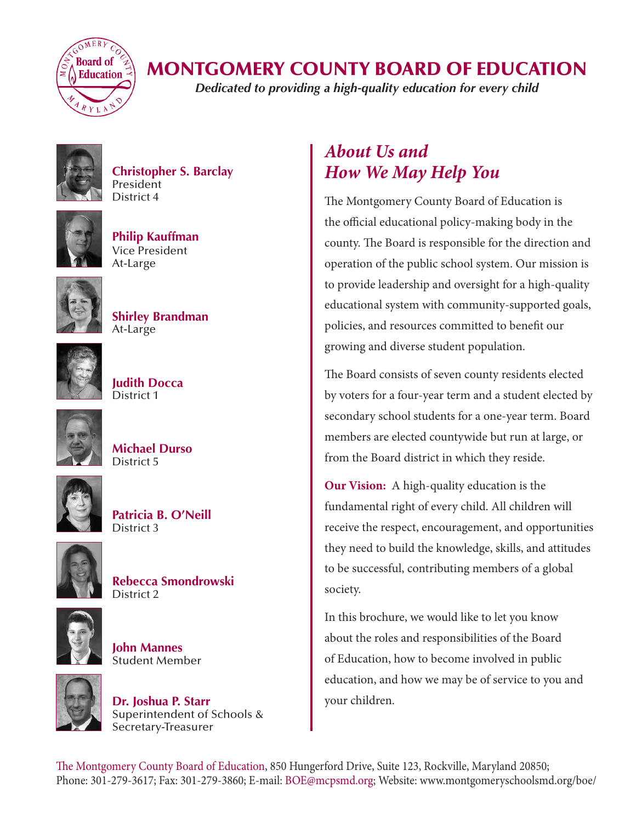

## MONTGOMERY COUNTY BOARD OF EDUCATION

*Dedicated to providing a high-quality education for every child*



**Christopher S. Barclay President** District 4



**Philip Kauffman** Vice President At-Large



**Shirley Brandman** At-Large



**Judith Docca** District 1



| <b>Michael Durso</b> |  |
|----------------------|--|
| District 5           |  |



**Patricia B. O'Neill** District 3



**Rebecca Smondrowski** District 2



**John Mannes** Student Member



**Dr. Joshua P. Starr** Superintendent of Schools & Secretary-Treasurer

## *About Us and How We May Help You*

The Montgomery County Board of Education is the official educational policy-making body in the county. The Board is responsible for the direction and operation of the public school system. Our mission is to provide leadership and oversight for a high-quality educational system with community-supported goals, policies, and resources committed to benefit our growing and diverse student population.

The Board consists of seven county residents elected by voters for a four-year term and a student elected by secondary school students for a one-year term. Board members are elected countywide but run at large, or from the Board district in which they reside.

**Our Vision:** A high-quality education is the fundamental right of every child. All children will receive the respect, encouragement, and opportunities they need to build the knowledge, skills, and attitudes to be successful, contributing members of a global society.

In this brochure, we would like to let you know about the roles and responsibilities of the Board of Education, how to become involved in public education, and how we may be of service to you and your children.

The Montgomery County Board of Education, 850 Hungerford Drive, Suite 123, Rockville, Maryland 20850; Phone: 301-279-3617; Fax: 301-279-3860; E-mail: BOE@mcpsmd.org; Website: www.montgomeryschoolsmd.org/boe/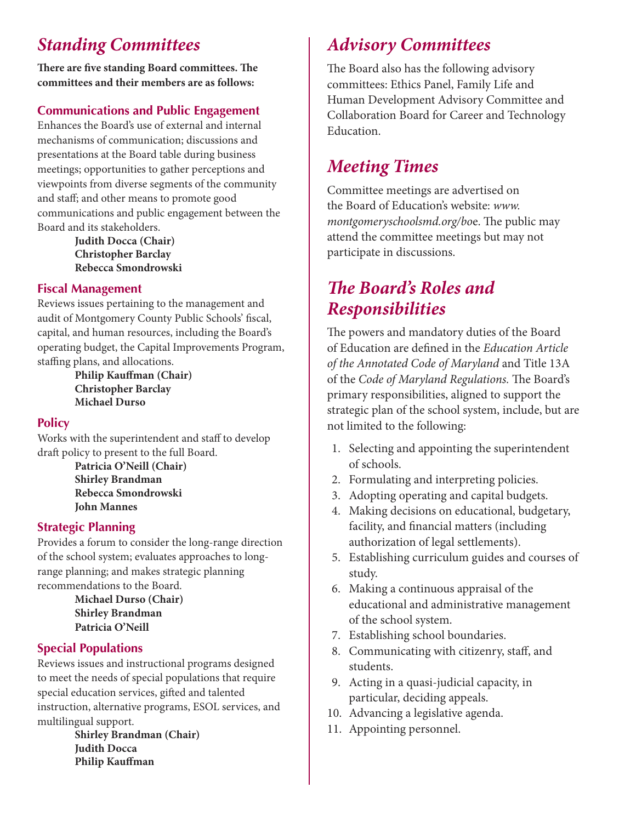# *Standing Committees*

**There are five standing Board committees. The committees and their members are as follows:**

## **Communications and Public Engagement**

Enhances the Board's use of external and internal mechanisms of communication; discussions and presentations at the Board table during business meetings; opportunities to gather perceptions and viewpoints from diverse segments of the community and staff; and other means to promote good communications and public engagement between the Board and its stakeholders.

**[Judith Docca](http://www.mcps.k12.md.us/boe/about/members/district1.shtm) (Chair) [Christopher Barclay](http://www.mcps.k12.md.us/boe/about/members/district4.shtm) Rebecca Smondrowski**

### **Fiscal Management**

Reviews issues pertaining to the management and audit of Montgomery County Public Schools' fiscal, capital, and human resources, including the Board's operating budget, the Capital Improvements Program, staffing plans, and allocations.

> **[Philip Kauffman](http://www.montgomeryschoolsmd.org/boe/about/members/atlarge1.shtm) (Chair) [Christopher Barclay](http://www.mcps.k12.md.us/boe/about/members/district4.shtm) [Michael Durso](http://www.mcps.k12.md.us/boe/about/members/district5.shtm)**

### **Policy**

Works with the superintendent and staff to develop draft policy to present to the full Board.

> **[Patricia O'Neill](http://www.montgomeryschoolsmd.org/boe/about/members/district3.shtm) (Chair) [Shirley Brandman](http://www.montgomeryschoolsmd.org/boe/about/members/atlarge2.shtm) Rebecca Smondrowski John Mannes**

### **Strategic Planning**

Provides a forum to consider the long-range direction of the school system; evaluates approaches to longrange planning; and makes strategic planning recommendations to the Board.

> **[Michael Durso](http://www.mcps.k12.md.us/boe/about/members/district5.shtm) (Chair) Shirley Brandman [Patricia O'Neill](http://www.montgomeryschoolsmd.org/boe/about/members/district3.shtm)**

### **Special Populations**

Reviews issues and instructional programs designed to meet the needs of special populations that require special education services, gifted and talented instruction, alternative programs, ESOL services, and multilingual support.

**[Shirley Brandman](http://www.montgomeryschoolsmd.org/boe/about/members/atlarge2.shtm) (Chair) Judith Docca [Philip Kauffman](http://www.montgomeryschoolsmd.org/boe/about/members/atlarge1.shtm)**

## *Advisory Committees*

The Board also has the following advisory committees: [Ethics Panel](http://www.mcps.k12.md.us/boe/community/advisory.shtm#ethics#ethics), [Family Life and](http://www.mcps.k12.md.us/boe/community/advisory.shtm#family#family)  [Human Development Advisory Committee](http://www.mcps.k12.md.us/boe/community/advisory.shtm#family#family) and [Collaboration Board for Career and Technology](http://www.mcps.k12.md.us/boe/community/advisory.shtm#cte#cte)  [Education](http://www.mcps.k12.md.us/boe/community/advisory.shtm#cte#cte).

## *Meeting Times*

Committee meetings are advertised on the Board of Education's website: *[www.](http://www.montgomeryschoolsmd.org/boe) [montgomeryschoolsmd.org/bo](http://www.montgomeryschoolsmd.org/boe)*e. The public may attend the committee meetings but may not participate in discussions.

# *The Board's Roles and Responsibilities*

The powers and mandatory duties of the Board of Education are defined in the *Education Article of the Annotated Code of Maryland* and Title 13A of the *Code of Maryland Regulations.* The Board's primary responsibilities, aligned to support the strategic plan of the school system, include, but are not limited to the following:

- 1. Selecting and appointing the superintendent of schools.
- 2. Formulating and interpreting policies.
- 3. Adopting operating and capital budgets.
- 4. Making decisions on educational, budgetary, facility, and financial matters (including authorization of legal settlements).
- 5. Establishing curriculum guides and courses of study.
- 6. Making a continuous appraisal of the educational and administrative management of the school system.
- 7. Establishing school boundaries.
- 8. Communicating with citizenry, staff, and students.
- 9. Acting in a quasi-judicial capacity, in particular, deciding appeals.
- 10. Advancing a legislative agenda.
- 11. Appointing personnel.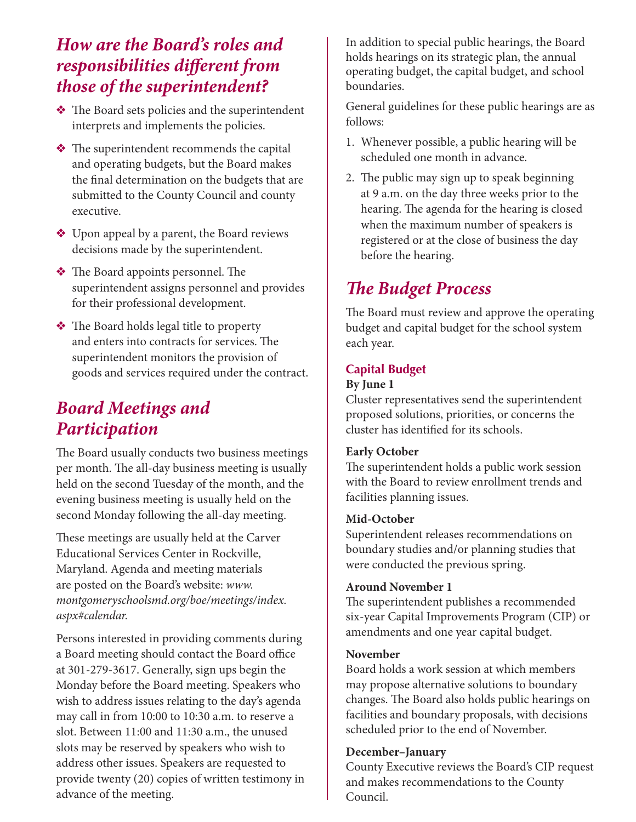## *How are the Board's roles and responsibilities different from those of the superintendent?*

- $\triangle$  The Board sets policies and the superintendent interprets and implements the policies.
- $\triangleleft$  The superintendent recommends the capital and operating budgets, but the Board makes the final determination on the budgets that are submitted to the County Council and county executive.
- v Upon appeal by a parent, the Board reviews decisions made by the superintendent.
- The Board appoints personnel. The superintendent assigns personnel and provides for their professional development.
- $\triangleleft$  The Board holds legal title to property and enters into contracts for services. The superintendent monitors the provision of goods and services required under the contract.

## *Board Meetings and Participation*

The Board usually conducts two business meetings per month. The all-day business meeting is usually held on the second Tuesday of the month, and the evening business meeting is usually held on the second Monday following the all-day meeting.

These meetings are usually held at the Carver Educational Services Center in Rockville, Maryland. Agenda and meeting materials are posted on the Board's website: *[www.](http://www.montgomeryschoolsmd.org/boe/meetings/index.aspx#calendar) [montgomeryschoolsmd.org/boe/meetings/index.](http://www.montgomeryschoolsmd.org/boe/meetings/index.aspx#calendar) [aspx#calendar](http://www.montgomeryschoolsmd.org/boe/meetings/index.aspx#calendar).*

Persons interested in providing comments during a Board meeting should contact the Board office at 301-279-3617. Generally, sign ups begin the Monday before the Board meeting. Speakers who wish to address issues relating to the day's agenda may call in from 10:00 to 10:30 a.m. to reserve a slot. Between 11:00 and 11:30 a.m., the unused slots may be reserved by speakers who wish to address other issues. Speakers are requested to provide twenty (20) copies of written testimony in advance of the meeting.

In addition to special public hearings, the Board holds hearings on its strategic plan, the annual operating budget, the capital budget, and school boundaries.

General guidelines for these public hearings are as follows:

- 1. Whenever possible, a public hearing will be scheduled one month in advance.
- 2. The public may sign up to speak beginning at 9 a.m. on the day three weeks prior to the hearing. The agenda for the hearing is closed when the maximum number of speakers is registered or at the close of business the day before the hearing.

# *The Budget Process*

The Board must review and approve the operating budget and capital budget for the school system each year.

## **Capital Budget**

#### **By June 1**

Cluster representatives send the superintendent proposed solutions, priorities, or concerns the cluster has identified for its schools.

### **Early October**

The superintendent holds a public work session with the Board to review enrollment trends and facilities planning issues.

### **Mid-October**

Superintendent releases recommendations on boundary studies and/or planning studies that were conducted the previous spring.

#### **Around November 1**

The superintendent publishes a recommended six-year Capital Improvements Program (CIP) or amendments and one year capital budget.

#### **November**

Board holds a work session at which members may propose alternative solutions to boundary changes. The Board also holds public hearings on facilities and boundary proposals, with decisions scheduled prior to the end of November.

### **December–January**

County Executive reviews the Board's CIP request and makes recommendations to the County Council.